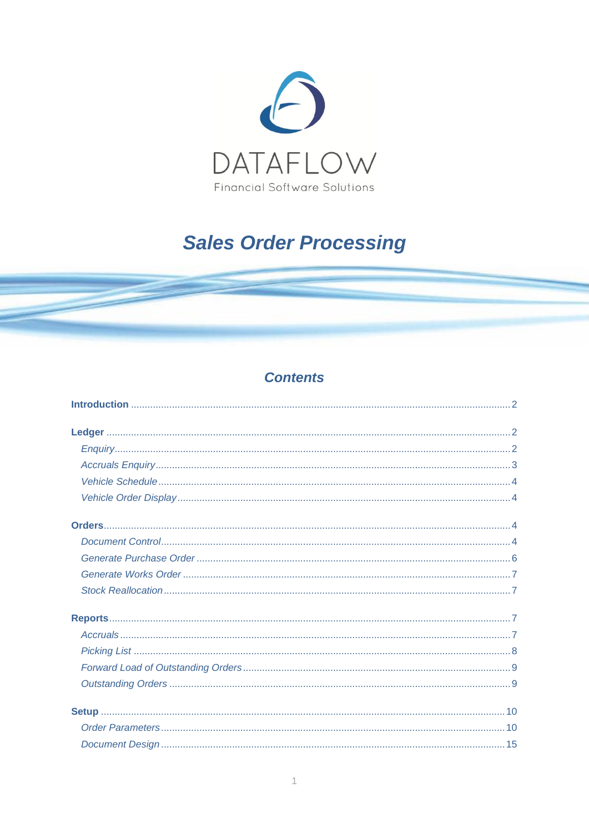

# **Sales Order Processing**

## **Contents**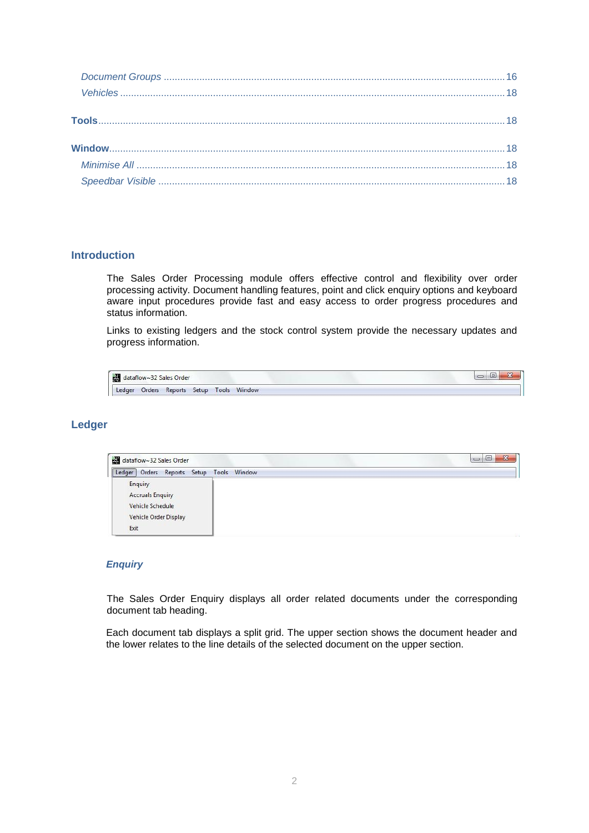## <span id="page-1-0"></span>**Introduction**

The Sales Order Processing module offers effective control and flexibility over order processing activity. Document handling features, point and click enquiry options and keyboard aware input procedures provide fast and easy access to order progress procedures and status information.

Links to existing ledgers and the stock control system provide the necessary updates and progress information.

|        | dataflow~32 Sales Order |  |                                   |  |  |  |
|--------|-------------------------|--|-----------------------------------|--|--|--|
| Ledger |                         |  | Orders Reports Setup Tools Window |  |  |  |

## <span id="page-1-1"></span>**Ledger**

| dataflow~32 Sales Order                                                                 | $\mathbf{x}$<br>$\Box$ |
|-----------------------------------------------------------------------------------------|------------------------|
| Orders Reports Setup Tools Window<br>Ledger                                             |                        |
| Enquiry<br><b>Accruals Enquiry</b><br>Vehicle Schedule<br>Vehicle Order Display<br>Exit |                        |

## <span id="page-1-2"></span>*Enquiry*

The Sales Order Enquiry displays all order related documents under the corresponding document tab heading.

Each document tab displays a split grid. The upper section shows the document header and the lower relates to the line details of the selected document on the upper section.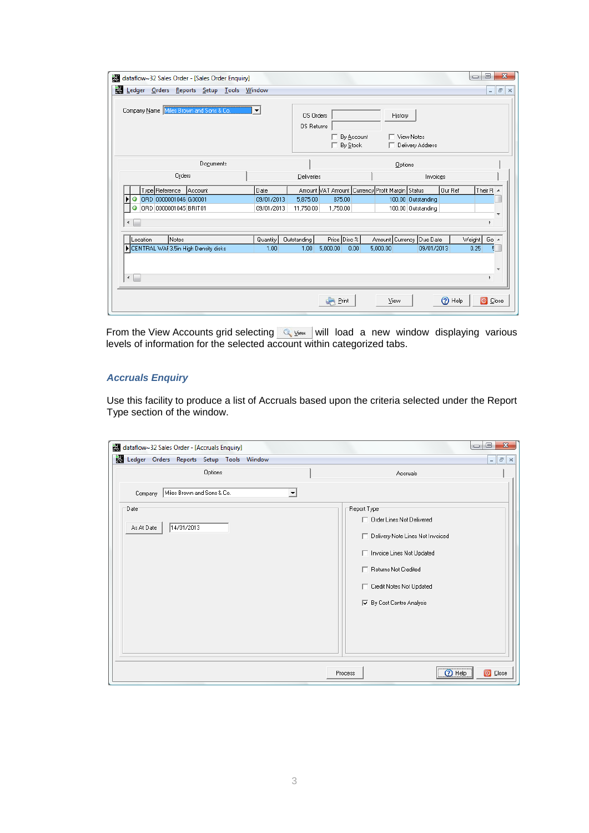|                     | Company Name Miles Brown and Sons & Co. | $\blacktriangledown$ | OS Orders<br>OS Returns | г.<br>□ By Stock | By Account | History                                         | View Notes<br>Delivery Address |         |                         |           |
|---------------------|-----------------------------------------|----------------------|-------------------------|------------------|------------|-------------------------------------------------|--------------------------------|---------|-------------------------|-----------|
|                     | Documents                               |                      |                         |                  |            | Options                                         |                                |         |                         |           |
|                     | Orders                                  |                      | Deliveries              |                  |            |                                                 | Invoices                       |         |                         |           |
|                     | Type Reference Account                  | Date                 |                         |                  |            | Amount VAT Amount Currency Profit Margin Status |                                | Our Ref | Their $R$ $\rightarrow$ |           |
| Þ<br>Ø              | ORD 0000001046 G00001                   | 09/01/2013           | 5.875.00                | 875.00           |            |                                                 | 100.00 Outstanding             |         |                         |           |
| 0<br>$\overline{ }$ | ORD 0000001045 BRIT01                   | 09/01/2013           | 11.750.00               | 1.750.00         |            |                                                 | 100.00 Outstanding             |         | k                       |           |
| Location            | Notes                                   | Quantity             | Outstanding             | Price Disc %     |            | Amount   Currency   Due Date                    |                                |         | Weight                  | Go $\sim$ |
|                     | CENTRAL WAI 3.5in High Density disks    | 1.00                 | 1.00                    | 5,000.00         | 0.00       | 5,000.00                                        | 09/01/2013                     |         | 0.25                    | 퇸         |

From the View Accounts grid selecting  $\mathbb{Q}$  view will load a new window displaying various levels of information for the selected account within categorized tabs.

## <span id="page-2-0"></span>*Accruals Enquiry*

Use this facility to produce a list of Accruals based upon the criteria selected under the Report Type section of the window.

| dataflow~32 Sales Order - [Accruals Enquiry]     | $\overline{\mathbf{x}}$<br>▣<br>$\Box$ |
|--------------------------------------------------|----------------------------------------|
| Ledger Orders Reports Setup Tools Window         | $ E$ $x$                               |
| Options                                          | Accruals                               |
| Miles Brown and Sons & Co.<br>$\vert$<br>Company |                                        |
| Date                                             | Report Type                            |
|                                                  | □ Order Lines Not Delivered            |
| 14/01/2013<br>As At Date                         | Delivery Note Lines Not Invoiced       |
|                                                  | Invoice Lines Not Updated              |
|                                                  | □ Returns Not Credited                 |
|                                                  | Credit Notes Not Updated               |
|                                                  | <b>▽</b> By Cost Centre Analysis       |
|                                                  |                                        |
|                                                  |                                        |
|                                                  |                                        |
|                                                  | 2 Help<br><b>O</b> Close<br>Process    |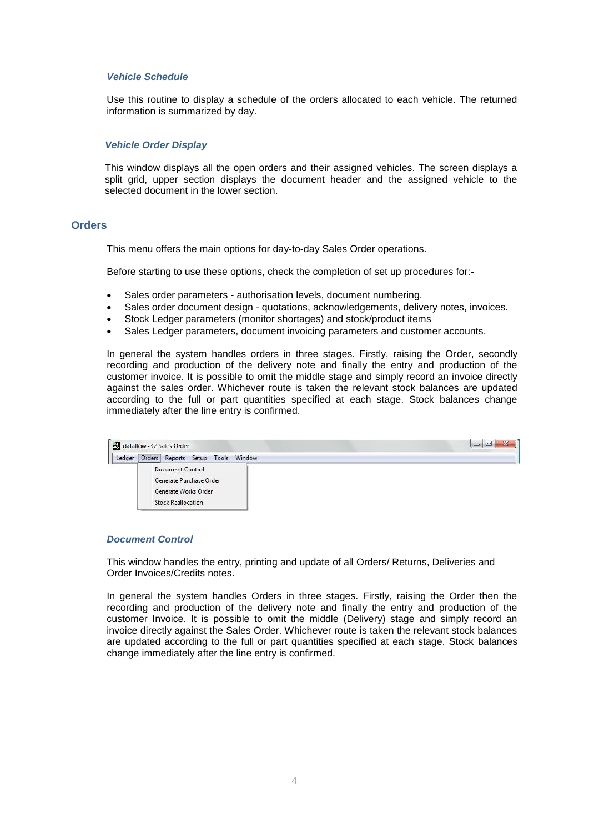## <span id="page-3-0"></span>*Vehicle Schedule*

Use this routine to display a schedule of the orders allocated to each vehicle. The returned information is summarized by day.

#### <span id="page-3-1"></span>*Vehicle Order Display*

This window displays all the open orders and their assigned vehicles. The screen displays a split grid, upper section displays the document header and the assigned vehicle to the selected document in the lower section.

#### <span id="page-3-2"></span>**Orders**

This menu offers the main options for day-to-day Sales Order operations.

Before starting to use these options, check the completion of set up procedures for:-

- Sales order parameters authorisation levels, document numbering.
- Sales order document design quotations, acknowledgements, delivery notes, invoices.
- Stock Ledger parameters (monitor shortages) and stock/product items
- Sales Ledger parameters, document invoicing parameters and customer accounts.

In general the system handles orders in three stages. Firstly, raising the Order, secondly recording and production of the delivery note and finally the entry and production of the customer invoice. It is possible to omit the middle stage and simply record an invoice directly against the sales order. Whichever route is taken the relevant stock balances are updated according to the full or part quantities specified at each stage. Stock balances change immediately after the line entry is confirmed.



#### <span id="page-3-3"></span>*Document Control*

This window handles the entry, printing and update of all Orders/ Returns, Deliveries and Order Invoices/Credits notes.

In general the system handles Orders in three stages. Firstly, raising the Order then the recording and production of the delivery note and finally the entry and production of the customer Invoice. It is possible to omit the middle (Delivery) stage and simply record an invoice directly against the Sales Order. Whichever route is taken the relevant stock balances are updated according to the full or part quantities specified at each stage. Stock balances change immediately after the line entry is confirmed.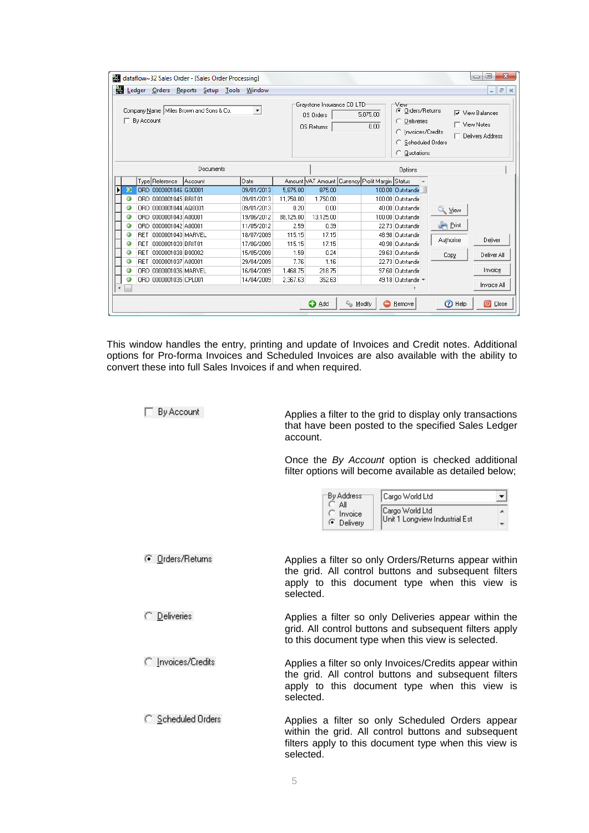| M.                   |                                                                         | $\Box$ By Account |                       | dataflow~32 Sales Order - [Sales Order Processing]<br>Ledger Orders Reports Setup Tools<br>Company Name   Miles Brown and Sons & Co. | Window<br>$\blacktriangledown$ |           | Graystone Insurance CO LTD <sup>.</sup><br>OS Orders<br><b>OS Returns</b> |  | 5.875.00<br>0.00 | View<br>C Orders/Returns<br>C Deliveries<br>C Invoices/Credits<br>C Scheduled Orders<br>C Quotations | □ View Notes         | $\mathbf{X}$<br>▣<br>$\Box$<br>$ B$ $\times$<br>$\nabla$ View Balances<br>□ Delivery Address |
|----------------------|-------------------------------------------------------------------------|-------------------|-----------------------|--------------------------------------------------------------------------------------------------------------------------------------|--------------------------------|-----------|---------------------------------------------------------------------------|--|------------------|------------------------------------------------------------------------------------------------------|----------------------|----------------------------------------------------------------------------------------------|
|                      |                                                                         |                   |                       | Documents                                                                                                                            |                                |           |                                                                           |  |                  | Options                                                                                              |                      |                                                                                              |
|                      |                                                                         |                   | Type Reference        | Account                                                                                                                              | Date                           |           | Amount VAT Amount   Currency   Profit Margin   Status                     |  |                  |                                                                                                      |                      |                                                                                              |
| Ы                    | $\circ$                                                                 |                   | ORD 0000001046 G00001 |                                                                                                                                      | 09/01/2013                     | 5.875.00  | 875.00                                                                    |  |                  | 100.00 Outstandir                                                                                    |                      |                                                                                              |
|                      | Θ                                                                       |                   | OBD 0000001045 BBIT01 |                                                                                                                                      | 09/01/2013                     | 11,750.00 | 1,750.00                                                                  |  |                  | 100.00 Outstandir                                                                                    |                      |                                                                                              |
|                      | Θ                                                                       |                   | ORD 0000001044 AQ0001 |                                                                                                                                      | 09/01/2013                     | 0.20      | 0.00                                                                      |  |                  | 40.00 Outstandir                                                                                     | <b>Q</b> <i>View</i> |                                                                                              |
|                      | Θ                                                                       |                   | ORD 0000001043 A00001 |                                                                                                                                      | 19/06/2012                     | 88,125.00 | 13,125.00                                                                 |  |                  | 100.00 Outstandir                                                                                    |                      |                                                                                              |
|                      | Θ                                                                       |                   | ORD 0000001042 A00001 |                                                                                                                                      | 11/05/2012                     | 2.59      | 0.39                                                                      |  |                  | 22.73 Outstandir                                                                                     | $\blacksquare$ Print |                                                                                              |
|                      | Θ                                                                       |                   | RET 0000001040 MARVEL |                                                                                                                                      | 18/07/2009                     | 115.15    | 17.15                                                                     |  |                  | 48.98 Outstandir                                                                                     | Authorise            | Deliver                                                                                      |
|                      | Θ                                                                       |                   | RET 0000001039 BRIT01 |                                                                                                                                      | 17/06/2009                     | 115.15    | 17.15                                                                     |  |                  | 48.98 Outstandir                                                                                     |                      |                                                                                              |
|                      | Θ                                                                       | <b>RET</b>        | 0000001038 B00002     |                                                                                                                                      | 15/05/2009                     | 1.59      | 0.24                                                                      |  |                  | 29.63 Outstandir                                                                                     | Copy                 | Deliver All                                                                                  |
|                      | Θ                                                                       |                   | RET 0000001037 A00001 |                                                                                                                                      | 29/04/2009                     | 7.76      | 1.16                                                                      |  |                  | 22.73 Outstandir                                                                                     |                      |                                                                                              |
|                      | Θ                                                                       |                   | ORD 0000001036 MARVEL |                                                                                                                                      | 16/04/2009                     | 1,468.75  | 218.75                                                                    |  |                  | 97.60 Outstandir                                                                                     |                      | Invoice                                                                                      |
|                      |                                                                         |                   | ORD 0000001035 CPL001 |                                                                                                                                      | 14/04/2009                     | 2,367.63  | 352.63                                                                    |  |                  | 49.18 Outstandir =                                                                                   |                      | Invoice All                                                                                  |
| $\blacktriangleleft$ |                                                                         |                   |                       |                                                                                                                                      |                                |           |                                                                           |  |                  |                                                                                                      |                      |                                                                                              |
|                      | & Modify<br><b>2</b> Help<br><b>O</b> Add<br>O Close<br><b>B</b> Remove |                   |                       |                                                                                                                                      |                                |           |                                                                           |  |                  |                                                                                                      |                      |                                                                                              |

This window handles the entry, printing and update of Invoices and Credit notes. Additional options for Pro-forma Invoices and Scheduled Invoices are also available with the ability to convert these into full Sales Invoices if and when required.

 $\Box$  By Account

C Deliveries

C Invoices/Credits

C Scheduled Orders

Applies a filter to the grid to display only transactions that have been posted to the specified Sales Ledger account.

Once the *By Account* option is checked additional filter options will become available as detailed below;

| <b>By Address</b> | Cargo World Ltd                |  |
|-------------------|--------------------------------|--|
| ΑI<br>C Invoice   | Cargo World Ltd                |  |
| <b>C</b> Delivery | Unit 1 Longview Industrial Est |  |

*C* Orders/Returns Applies a filter so only Orders/Returns appear within the grid. All control buttons and subsequent filters apply to this document type when this view is selected.

> Applies a filter so only Deliveries appear within the grid. All control buttons and subsequent filters apply to this document type when this view is selected.

> Applies a filter so only Invoices/Credits appear within the grid. All control buttons and subsequent filters apply to this document type when this view is selected.

Applies a filter so only Scheduled Orders appear within the grid. All control buttons and subsequent filters apply to this document type when this view is selected.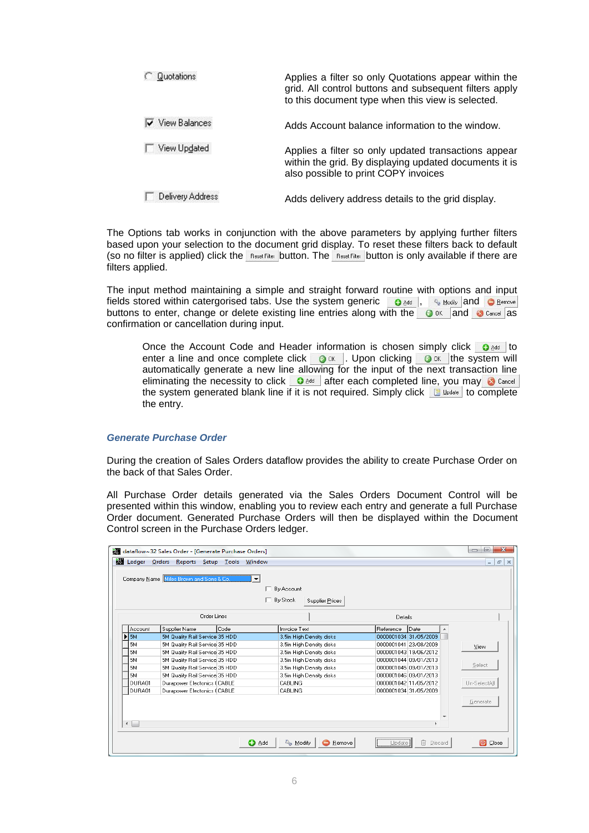| Quotations             | Applies a filter so only Quotations appear within the<br>grid. All control buttons and subsequent filters apply<br>to this document type when this view is selected. |
|------------------------|----------------------------------------------------------------------------------------------------------------------------------------------------------------------|
| <b>▽</b> View Balances | Adds Account balance information to the window.                                                                                                                      |
| View Updated           | Applies a filter so only updated transactions appear<br>within the grid. By displaying updated documents it is<br>also possible to print COPY invoices               |
| Delivery Address       | Adds delivery address details to the grid display.                                                                                                                   |

The Options tab works in conjunction with the above parameters by applying further filters based upon your selection to the document grid display. To reset these filters back to default (so no filter is applied) click the  $B_{\text{Best Filter}}$  button. The Best Filter button is only available if there are filters applied.

The input method maintaining a simple and straight forward routine with options and input fields stored within catergorised tabs. Use the system generic  $\bullet$  and  $\bullet$  Modify and  $\bullet$  Bemove buttons to enter, change or delete existing line entries along with the  $\circ$  ok and  $\circ$  Cancel as confirmation or cancellation during input.

Once the Account Code and Header information is chosen simply click  $\bullet$   $\bullet$  identified enter a line and once complete click  $\bullet$  or i. Upon clicking  $\bullet$  or the system will automatically generate a new line allowing for the input of the next transaction line eliminating the necessity to click  $\bullet$  and after each completed line, you may  $\bullet$  Cancel the system generated blank line if it is not required. Simply click  $\Box$  Update to complete the entry.

#### <span id="page-5-0"></span>*Generate Purchase Order*

During the creation of Sales Orders dataflow provides the ability to create Purchase Order on the back of that Sales Order.

All Purchase Order details generated via the Sales Orders Document Control will be presented within this window, enabling you to review each entry and generate a full Purchase Order document. Generated Purchase Orders will then be displayed within the Document Control screen in the Purchase Orders ledger.

|                          | Company Name Miles Brown and Sons & Co. |      | By Account<br>┍<br>By Stock<br>г.<br><b>Supplier Prices</b> |           |                       |              |
|--------------------------|-----------------------------------------|------|-------------------------------------------------------------|-----------|-----------------------|--------------|
|                          | Order Lines                             |      |                                                             | Details   |                       |              |
| Account                  | Supplier Name                           | Code | <b>Invoice Text</b>                                         | Reference | Date                  |              |
| $\blacktriangleright$ 5M | 5M Quality Rail Service 35 HDD          |      | 3.5in High Density disks                                    |           | 0000001034 31/05/2009 |              |
| <b>5M</b>                | 5M Quality Rail Service 35 HDD          |      | 3.5in High Density disks                                    |           | 0000001041 23/08/2009 | View         |
| <b>5M</b>                | 5M Quality Rail Service 35 HDD          |      | 3.5in High Density disks                                    |           | 0000001043 19/06/2012 |              |
| <b>5M</b>                | 5M Quality Rail Service 35 HDD          |      | 3.5in High Density disks                                    |           | 0000001044 09/01/2013 |              |
| <b>5M</b>                | 5M Quality Rail Service 35 HDD          |      | 3.5in High Density disks                                    |           | 0000001045 09/01/2013 | Select       |
| 5М                       | 5M Quality Rail Service 35 HDD          |      | 3.5in High Density disks                                    |           | 0000001046 09/01/2013 |              |
| DURA01                   | Durapower Electonics (CABLE             |      | <b>CABLING</b>                                              |           | 0000001042 11/05/2012 | Un-SelectAll |
| DURA01                   | Durapower Electonics (CABLE             |      | <b>CABLING</b>                                              |           | 0000001034 31/05/2009 |              |
|                          |                                         |      |                                                             |           |                       | Generate     |
|                          |                                         |      |                                                             |           |                       |              |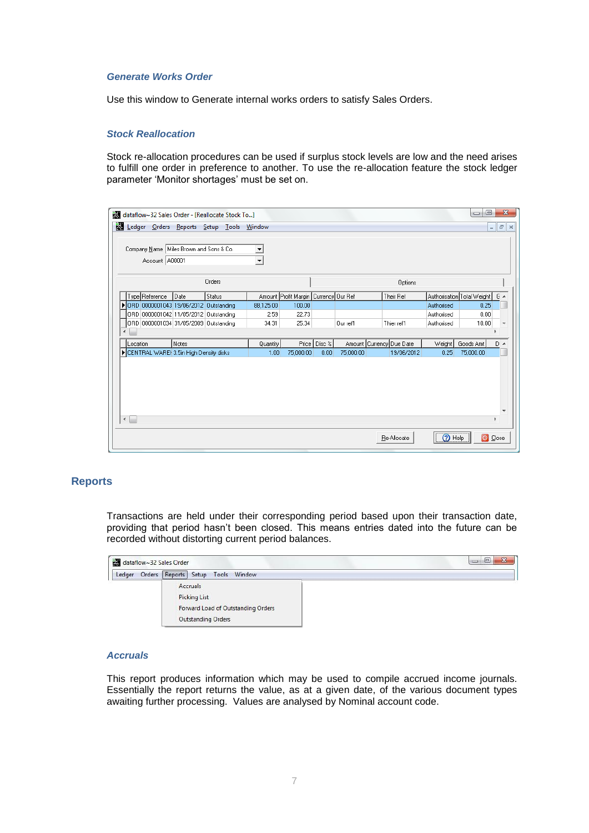## <span id="page-6-0"></span>*Generate Works Order*

Use this window to Generate internal works orders to satisfy Sales Orders.

#### <span id="page-6-1"></span>*Stock Reallocation*

Stock re-allocation procedures can be used if surplus stock levels are low and the need arises to fulfill one order in preference to another. To use the re-allocation feature the stock ledger parameter 'Monitor shortages' must be set on.

| dataflow~32 Sales Order - [Reallocate Stock To] |                                           |               |                          |                                           |                |           |                              |            | ▣<br>$\Box$                      | $\mathbf{x}$ |
|-------------------------------------------------|-------------------------------------------|---------------|--------------------------|-------------------------------------------|----------------|-----------|------------------------------|------------|----------------------------------|--------------|
| Ledger Orders Reports Setup Tools               |                                           |               | Window                   |                                           |                |           |                              |            | $\overline{\phantom{0}}$         | $F \times$   |
| Account A00001                                  | Company Name   Miles Brown and Sons & Co. |               | $\overline{\phantom{a}}$ |                                           |                |           |                              |            |                                  |              |
|                                                 |                                           | Orders        |                          |                                           |                |           | Options                      |            |                                  |              |
| Type Reference                                  | Date                                      | <b>Status</b> |                          | Amount Profit Margin   Currency   Our Ref |                |           | Their Ref                    |            | Authorisation Total Weight   C A |              |
| DRD 0000001043 19/06/2012 Outstanding           |                                           |               | 88,125.00                | 100.00                                    |                |           |                              | Authorised | 0.25                             |              |
|                                                 | ORD 0000001042 11/05/2012 Outstanding     |               | 2.59                     | 22.73                                     |                |           |                              | Authorised | 0.00                             |              |
|                                                 | ORD 0000001034 31/05/2009 Outstanding     |               | 34.31                    | 25.34                                     |                | Our ref1  | Thier ref1                   | Authorised | 10.00                            |              |
|                                                 |                                           |               |                          |                                           |                |           |                              |            |                                  |              |
| Location                                        | Notes                                     |               | Quantity                 |                                           | Price   Disc % |           | Amount   Currency   Due Date | Weight     | Goods Amt                        | $D -$        |
| CENTRAL WAREH 3.5in High Density disks          |                                           |               | 1.00                     | 75,000.00                                 | 0.00           | 75,000.00 | 19/06/2012                   | 0.25       | 75,000.00                        |              |
|                                                 |                                           |               |                          |                                           |                |           |                              |            |                                  |              |
| $\leftarrow$                                    |                                           |               |                          |                                           |                |           |                              |            |                                  | Þ.           |
|                                                 |                                           |               |                          |                                           |                |           | Re-Allocate                  | $(2)$ Help | O Close                          |              |

## <span id="page-6-2"></span>**Reports**

Transactions are held under their corresponding period based upon their transaction date, providing that period hasn't been closed. This means entries dated into the future can be recorded without distorting current period balances.



## <span id="page-6-3"></span>*Accruals*

This report produces information which may be used to compile accrued income journals. Essentially the report returns the value, as at a given date, of the various document types awaiting further processing. Values are analysed by Nominal account code.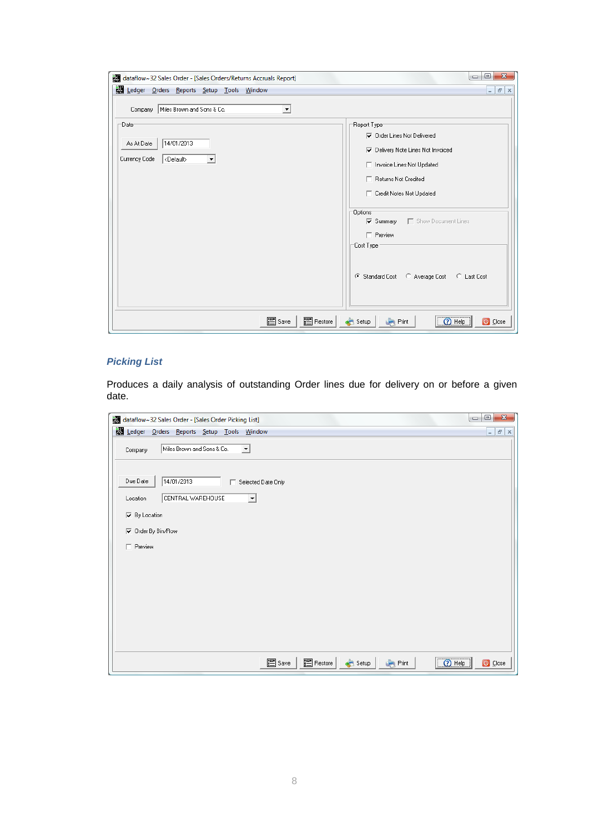| dataflow~32 Sales Order - [Sales Orders/Returns Accruals Report]          | $\mathbf{x}$<br>▣<br>$\Box$                                                                                                                                                                                                                                                                                            |
|---------------------------------------------------------------------------|------------------------------------------------------------------------------------------------------------------------------------------------------------------------------------------------------------------------------------------------------------------------------------------------------------------------|
| Ledger Orders Reports Setup Tools Window                                  | $ F$ $x$                                                                                                                                                                                                                                                                                                               |
| Company   Miles Brown and Sons & Co.<br>$\blacktriangledown$              |                                                                                                                                                                                                                                                                                                                        |
| Date:<br>14/01/2013<br>As At Date<br>Currency Code<br><default></default> | Report Type<br><b>▽</b> Order Lines Not Delivered<br>Delivery Note Lines Not Invoiced<br>□ Invoice Lines Not Updated<br>□ Returns Not Credited<br>□ Credit Notes Not Updated<br>-Options-<br>■ Show Document Lines<br>$\nabla$ Summary<br>$\Gamma$ Preview<br>Cost Type:<br>C Standard Cost C Average Cost C Last Cost |
| 图 Restore<br>图 Save                                                       | 2 Help<br>O Close<br>Print<br>Setup                                                                                                                                                                                                                                                                                    |

## <span id="page-7-0"></span>*Picking List*

Produces a daily analysis of outstanding Order lines due for delivery on or before a given date.

| dataflow~32 Sales Order - [Sales Order Picking List]               | $\mathbf{x}$<br>o<br>$\Box$      |
|--------------------------------------------------------------------|----------------------------------|
| Ledger Orders Reports Setup Tools Window                           | $ \mid$ $\sigma$ $\mid$ $\times$ |
| Miles Brown and Sons & Co.<br>$\vert \cdot \vert$<br>Company       |                                  |
| Due Date<br>14/01/2013<br>Selected Date Only                       |                                  |
| CENTRAL WAREHOUSE<br>$\overline{\phantom{a}}$<br>Location          |                                  |
| $\nabla$ By Location                                               |                                  |
| <b>▽</b> Order By Bin/Row                                          |                                  |
| $\Box$ Preview                                                     |                                  |
|                                                                    |                                  |
|                                                                    |                                  |
|                                                                    |                                  |
|                                                                    |                                  |
|                                                                    |                                  |
|                                                                    |                                  |
|                                                                    |                                  |
| $\overline{\bigcirc}$ Help<br>图 Save<br>图 Restore<br>Pint<br>Setup | O Close                          |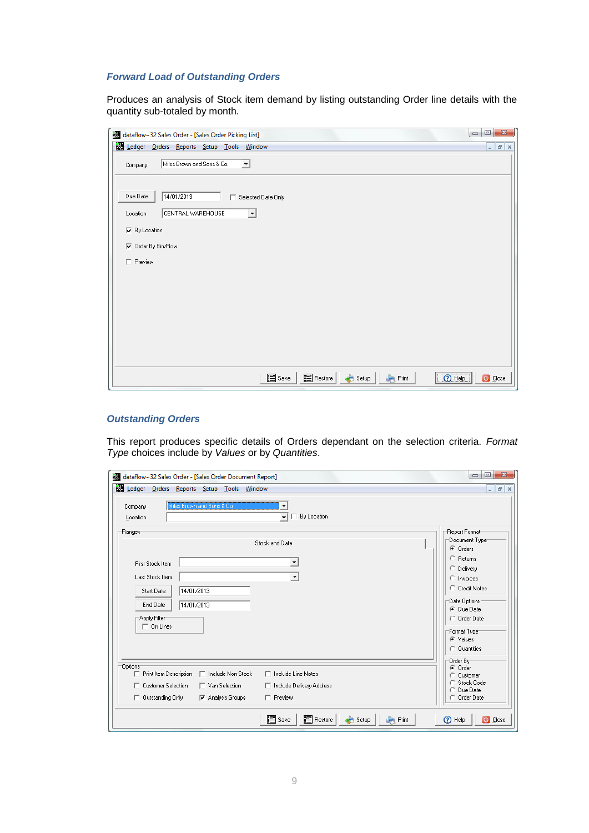## <span id="page-8-0"></span>*Forward Load of Outstanding Orders*

Produces an analysis of Stock item demand by listing outstanding Order line details with the quantity sub-totaled by month.

| dataflow~32 Sales Order - [Sales Order Picking List]         | $\overline{\mathbf{x}}$<br>▣<br>$\qquad \qquad \Box$ |
|--------------------------------------------------------------|------------------------------------------------------|
| Ledger Orders Reports Setup Tools Window                     | $ \mid$ $\sigma$ $\mid$ $\times$                     |
| Miles Brown and Sons & Co.<br>$\vert \cdot \vert$<br>Company |                                                      |
| 14/01/2013<br>Due Date<br>Selected Date Only                 |                                                      |
| CENTRAL WAREHOUSE<br>$\blacktriangledown$<br>Location        |                                                      |
| $\nabla$ By Location                                         |                                                      |
| <b>▽</b> Order By Bin/Row                                    |                                                      |
| $\Box$ Preview                                               |                                                      |
|                                                              |                                                      |
|                                                              |                                                      |
|                                                              |                                                      |
|                                                              |                                                      |
|                                                              |                                                      |
|                                                              |                                                      |
|                                                              |                                                      |
| 图 Restore<br>图 Save<br>2 Help<br>Setup<br>Print              | O Close                                              |

## <span id="page-8-1"></span>*Outstanding Orders*

This report produces specific details of Orders dependant on the selection criteria. *Format Type* choices include by *Values* or by *Quantities*.

| 要<br>dataflow~32 Sales Order - [Sales Order Document Report]                                                                                                                                                                                        | $\mathbf{x}$<br>$\qquad \qquad \Box$<br>$\Box$                                           |
|-----------------------------------------------------------------------------------------------------------------------------------------------------------------------------------------------------------------------------------------------------|------------------------------------------------------------------------------------------|
| Ledger Orders Reports Setup Tools Window                                                                                                                                                                                                            | $ F \times$                                                                              |
| Miles Brown and Sons & Co.<br>Company<br>$\Box$ By Location<br>$\mathbf{r}$<br>Location                                                                                                                                                             |                                                                                          |
| Ranges <sup>-</sup><br>Stock and Date                                                                                                                                                                                                               | Report Format<br>Document Type <sup>-</sup><br>$\odot$ Orders                            |
| $\overline{\phantom{a}}$<br><b>First Stock Item</b><br>Last Stock Item<br>▼                                                                                                                                                                         | C Returns<br>C Delivery<br>$\bigcirc$ Invoices                                           |
| 14/01/2013<br>Start Date<br>End Date<br>14/01/2013<br>Apply Filter                                                                                                                                                                                  | C Credit Notes<br>Date Options<br>C Due Date<br>C Order Date                             |
| $\Box$ On Lines                                                                                                                                                                                                                                     | Format Type <sup>-</sup><br>C Values<br>C Quantities                                     |
| Options <sup>-</sup><br>Print Item Description<br>□ Include Non-Stock<br>□ Include Line Notes<br>□ Customer Selection<br>$\Box$ Van Selection<br>□ Include Delivery Address<br>$\Box$ Preview<br>Outstanding Only<br>$\nabla$ Analysis Groups<br>г. | Order By<br>C Order<br>Customer<br>o<br>Stock Code<br>o<br>Due Date<br>O<br>C Order Date |
| 图 Restore<br>图 Save<br>Setup<br>Print                                                                                                                                                                                                               | <b>D</b> Help<br>O Close                                                                 |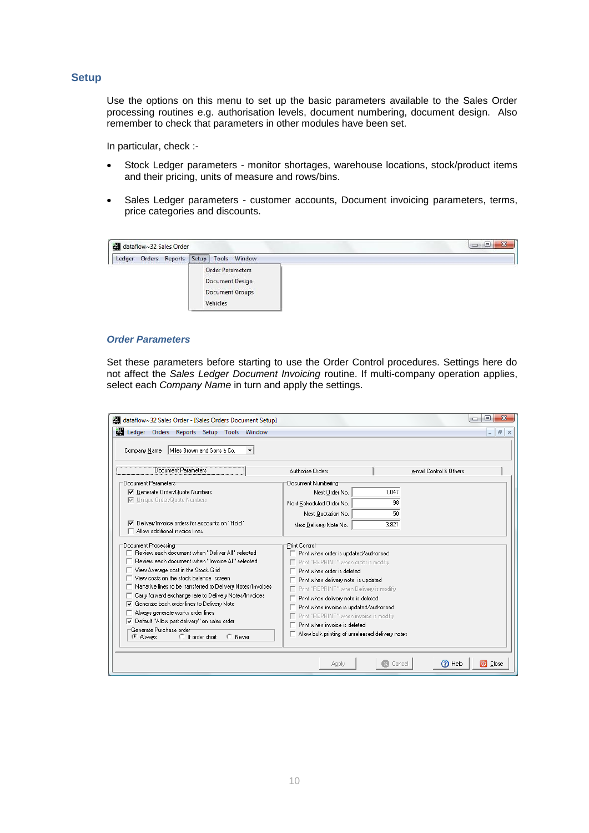## <span id="page-9-0"></span>**Setup**

Use the options on this menu to set up the basic parameters available to the Sales Order processing routines e.g. authorisation levels, document numbering, document design. Also remember to check that parameters in other modules have been set.

In particular, check :-

- Stock Ledger parameters monitor shortages, warehouse locations, stock/product items and their pricing, units of measure and rows/bins.
- Sales Ledger parameters customer accounts, Document invoicing parameters, terms, price categories and discounts.



#### <span id="page-9-1"></span>*Order Parameters*

Set these parameters before starting to use the Order Control procedures. Settings here do not affect the *Sales Ledger Document Invoicing* routine. If multi-company operation applies, select each *Company Name* in turn and apply the settings.

| dataflow~32 Sales Order - [Sales Orders Document Setup]                                                                                                                                                                                                                      | X<br> □<br>$\Box$                                                                                                                                                                 |  |  |
|------------------------------------------------------------------------------------------------------------------------------------------------------------------------------------------------------------------------------------------------------------------------------|-----------------------------------------------------------------------------------------------------------------------------------------------------------------------------------|--|--|
| Ledger Orders Reports Setup Tools Window                                                                                                                                                                                                                                     | $F \times$<br>÷                                                                                                                                                                   |  |  |
| Miles Brown and Sons & Co.<br>Company Name<br>$\blacktriangledown$                                                                                                                                                                                                           |                                                                                                                                                                                   |  |  |
| Document Parameters                                                                                                                                                                                                                                                          | Authorise Orders<br>e-mail Control & Others                                                                                                                                       |  |  |
| Document Parameters:                                                                                                                                                                                                                                                         | Document Numbering                                                                                                                                                                |  |  |
| <b>▽</b> Generate Order/Quote Numbers                                                                                                                                                                                                                                        | 1.047<br>Next Order No.                                                                                                                                                           |  |  |
| □ Unique Order/Quote Numbers                                                                                                                                                                                                                                                 | 98<br>Next Scheduled Order No.                                                                                                                                                    |  |  |
|                                                                                                                                                                                                                                                                              | 50<br>Next Quotation No.                                                                                                                                                          |  |  |
| □ Deliver/Invoice orders for accounts on "Hold"                                                                                                                                                                                                                              | 3,821<br>Next Delivery Note No.                                                                                                                                                   |  |  |
| $\Box$ Allow additional invoice lines:                                                                                                                                                                                                                                       |                                                                                                                                                                                   |  |  |
| Document Processing<br>Review each document when "Deliver All" selected<br>Beview each document when "Invoice All" selected<br>View Average cost in the Stock Grid<br>View costs on the stock balance screen<br>Narrative lines to be transferred to Delivery Notes/Invoices | Print Control<br>F Print when order is updated/authorised<br>F Print "BEPBINT" when order is modifiv<br>Print when order is deleted<br>$\Box$ Print when delivery note is updated |  |  |
| Carry forward exchange rate to Delivery Notes/Invoices                                                                                                                                                                                                                       | □ Print "REPRINT" when Delivery is modifiy<br>$\Box$ Print when delivery note is deleted                                                                                          |  |  |
| Generate back order lines to Delivery Note                                                                                                                                                                                                                                   | $\Box$ Print when invoice is updated/authorised                                                                                                                                   |  |  |
| Always generate works order lines                                                                                                                                                                                                                                            | Print "REPRINT" when invoice is modifiy                                                                                                                                           |  |  |
| Default "Allow part delivery" on sales order                                                                                                                                                                                                                                 | $\Box$ Print when invoice is deleted                                                                                                                                              |  |  |
| Generate Purchase order<br>$\bigcirc$ If order short<br>C Always<br>C Never                                                                                                                                                                                                  | $\Box$ Allow bulk printing of unreleased delivery notes                                                                                                                           |  |  |
|                                                                                                                                                                                                                                                                              | ②<br>Help<br>Close<br>രി<br>Cancel<br>Apply                                                                                                                                       |  |  |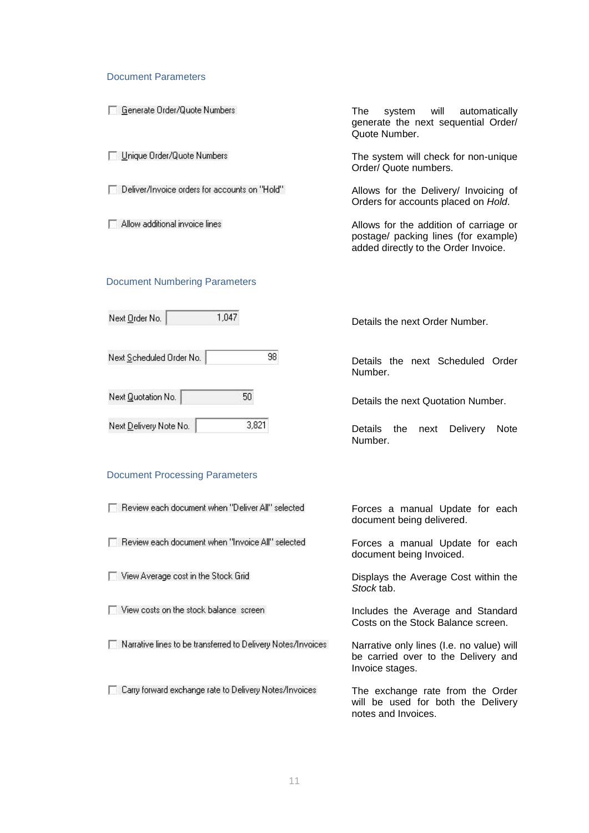#### Document Parameters

| Generate Order/Quote Numbers                  | The l<br>system will automatically<br>generate the next sequential Order/<br>Quote Number.                             |
|-----------------------------------------------|------------------------------------------------------------------------------------------------------------------------|
| Unique Order/Quote Numbers                    | The system will check for non-unique<br>Order/ Quote numbers.                                                          |
| Deliver/Invoice orders for accounts on "Hold" | Allows for the Delivery/ Invoicing of<br>Orders for accounts placed on Hold.                                           |
| Allow additional invoice lines                | Allows for the addition of carriage or<br>postage/ packing lines (for example)<br>added directly to the Order Invoice. |
| Document Numbering Derameters                 |                                                                                                                        |

#### Document Numbering Parameters

F Review each document when "Deliver All" selected

F Review each document when "Invoice All" selected

Narrative lines to be transferred to Delivery Notes/Invoices

E Carry forward exchange rate to Delivery Notes/Invoices

View Average cost in the Stock Grid

View costs on the stock balance screen

| 1,047<br>Next Order No.               | Details the next Order Number.                                   |
|---------------------------------------|------------------------------------------------------------------|
| 98<br>Next Scheduled Order No.        | Details the next Scheduled Order<br>Number.                      |
| Next Quotation No.<br>50              | Details the next Quotation Number.                               |
| 3,821<br>Next Delivery Note No.       | <b>Delivery</b><br>Details the<br><b>Note</b><br>next<br>Number. |
| <b>Document Processing Parameters</b> |                                                                  |

Forces a manual Update for each document being delivered.

Forces a manual Update for each document being Invoiced.

Displays the Average Cost within the *Stock* tab.

Includes the Average and Standard Costs on the Stock Balance screen.

Narrative only lines (I.e. no value) will be carried over to the Delivery and Invoice stages.

The exchange rate from the Order will be used for both the Delivery notes and Invoices.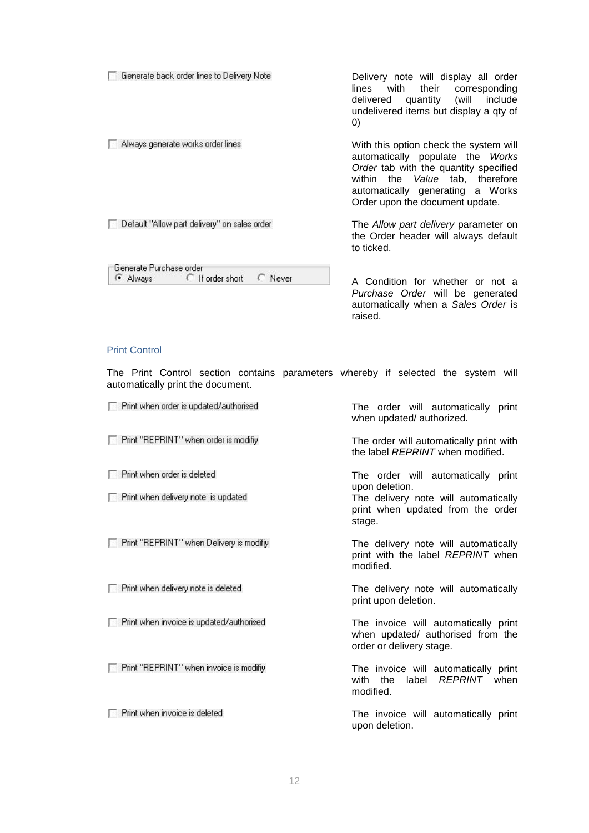| Generate back order lines to Delivery Note                         | Delivery note will display all order<br>their<br>lines<br>with<br>corresponding<br>include<br>(will<br>quantity<br>delivered<br>undelivered items but display a gty of<br>$\left( 0\right)$                                   |
|--------------------------------------------------------------------|-------------------------------------------------------------------------------------------------------------------------------------------------------------------------------------------------------------------------------|
| Always generate works order lines                                  | With this option check the system will<br>automatically populate the Works<br>Order tab with the quantity specified<br>within the Value tab, therefore<br>automatically generating a Works<br>Order upon the document update. |
| Default "Allow part delivery" on sales order                       | The Allow part delivery parameter on<br>the Order header will always default<br>to ticked.                                                                                                                                    |
| Generate Purchase order<br>◯ If order short<br>G Always<br>C Never | A Condition for whether or not a                                                                                                                                                                                              |

A Condition for whether or not a *Purchase Order* will be generated automatically when a *Sales Order* is raised.

#### Print Control

The Print Control section contains parameters whereby if selected the system will automatically print the document.

| Print when order is updated/authorised     | The order will automatically print<br>when updated/authorized.                                        |
|--------------------------------------------|-------------------------------------------------------------------------------------------------------|
| F Print "REPRINT" when order is modifiy    | The order will automatically print with<br>the label REPRINT when modified.                           |
| $\Box$ Print when order is deleted         | The order will automatically print                                                                    |
| $\Box$ Print when delivery note is updated | upon deletion.<br>The delivery note will automatically<br>print when updated from the order<br>stage. |
| Print "REPRINT" when Delivery is modify    | The delivery note will automatically<br>print with the label REPRINT when<br>modified.                |
| Print when delivery note is deleted        | The delivery note will automatically<br>print upon deletion.                                          |
| Print when invoice is updated/authorised   | The invoice will automatically print<br>when updated/ authorised from the<br>order or delivery stage. |
| Print "REPRINT" when invoice is modifiy    | The invoice will automatically print<br>REPRINT when<br>the<br>label<br>with<br>modified.             |
| Print when invoice is deleted              | The invoice will automatically print<br>upon deletion.                                                |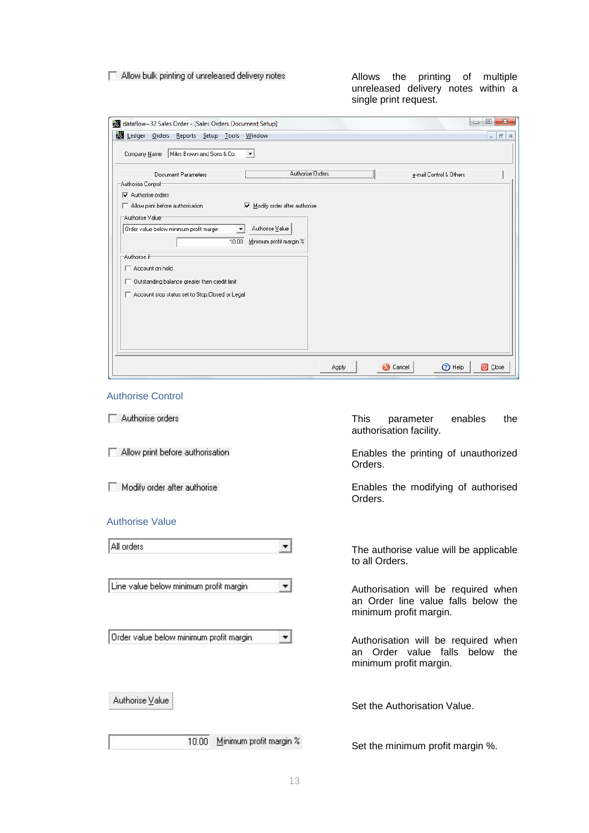#### Allow bulk printing of unreleased delivery notes

Allows the printing of multiple unreleased delivery notes within a single print request.

| dataflow~32 Sales Order - [Sales Orders Document Setup]                                          | $\overline{\mathbf{x}}$<br>▣<br>$\Box$ |
|--------------------------------------------------------------------------------------------------|----------------------------------------|
| Ledger Orders Reports Setup Tools Window                                                         | F x<br>$\sim$                          |
| Miles Brown and Sons & Co.<br>Company Name<br>$\overline{\phantom{a}}$                           |                                        |
| Authorise Orders<br>Document Parameters<br>e-mail Control & Others                               |                                        |
| Authorise Control                                                                                |                                        |
| $\nabla$ Authorise orders                                                                        |                                        |
| $\overline{\blacktriangledown}$ Modify order after authorise<br>Allow print before authorisation |                                        |
| Authorise Value                                                                                  |                                        |
| Authorise Value<br>Order value below minimum profit margin<br>$\overline{\phantom{a}}$           |                                        |
| Minimum profit margin %<br>10.00                                                                 |                                        |
| Authorise if                                                                                     |                                        |
| Account on hold                                                                                  |                                        |
|                                                                                                  |                                        |
| □ Outstanding balance greater then credit limit                                                  |                                        |
| Account stop status set to Stop, Closed or Legal                                                 |                                        |
|                                                                                                  |                                        |
|                                                                                                  |                                        |
|                                                                                                  |                                        |
|                                                                                                  |                                        |
|                                                                                                  |                                        |
| <sup>1</sup><br>Apply<br><b>X</b> Cancel                                                         | O Close                                |

## Authorise Control

Authorise orders

Allow print before authorisation

Modify order after authorise

#### Authorise Value

All orders  $\left| \cdot \right|$ 

Line value below minimum profit margin

Order value below minimum profit margin

Authorise Value

10.00 Minimum profit margin %

This parameter enables the authorisation facility.

Enables the printing of unauthorized Orders.

Enables the modifying of authorised Orders.

The authorise value will be applicable to all Orders.

Authorisation will be required when an Order line value falls below the minimum profit margin.

Authorisation will be required when an Order value falls below the minimum profit margin.

Set the Authorisation Value.

Set the minimum profit margin %.

 $\left| \cdot \right|$ 

 $\overline{\phantom{a}}$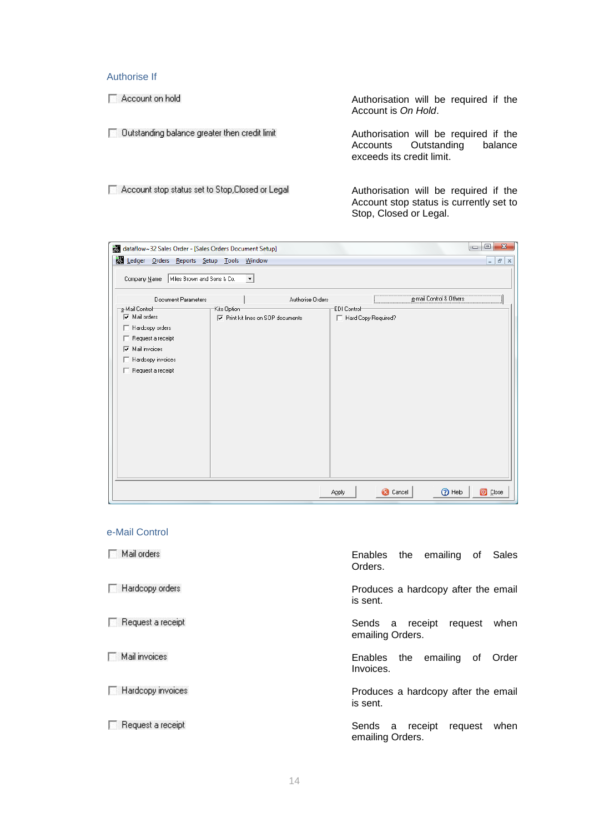## Authorise If

Account on hold

Authorisation will be required if the Account is *On Hold*.

□ Dutstanding balance greater then credit limit

Authorisation will be required if the Accounts Outstanding balance exceeds its credit limit.

Account stop status set to Stop, Closed or Legal

Authorisation will be required if the Account stop status is currently set to Stop, Closed or Legal.

| dataflow~32 Sales Order - [Sales Orders Document Setup]                                                                                                           |                                                          |                                           | $\qquad \qquad \Box$<br>$\Box$            | $\mathbf{x}$ |
|-------------------------------------------------------------------------------------------------------------------------------------------------------------------|----------------------------------------------------------|-------------------------------------------|-------------------------------------------|--------------|
| Ledger Orders Reports Setup Tools Window                                                                                                                          |                                                          |                                           | $ \sigma$ $\times$                        |              |
| Miles Brown and Sons & Co.<br>Company Name                                                                                                                        | $\vert \cdot \vert$                                      |                                           |                                           |              |
| Document Parameters                                                                                                                                               | Authorise Orders                                         |                                           | e-mail Control & Others                   |              |
| e-Mail Control <sup>.</sup><br>Mail orders<br>Hardcopy orders<br>Request a receipt<br>г.<br>$\nabla$ Mail invoices<br>Hardcopy invoices<br>Request a receipt<br>г | Kits Option<br><b>▽</b> Print kit lines on SOP documents | <b>EDI Control</b><br>Hard Copy Required? |                                           |              |
|                                                                                                                                                                   |                                                          | Apply                                     | <b>O</b> Help<br>O Close<br><b>Cancel</b> |              |

#### e-Mail Control

| Mail orders              | Enables the emailing of<br>Sales<br>Orders.            |
|--------------------------|--------------------------------------------------------|
| Hardcopy orders          | Produces a hardcopy after the email<br>is sent.        |
| Request a receipt        | Sends a receipt<br>request<br>when<br>emailing Orders. |
| Mail invoices            | the emailing of<br>Enables<br>Order<br>Invoices.       |
| Hardcopy invoices        | Produces a hardcopy after the email<br>is sent.        |
| $\Box$ Request a receipt | request<br>Sends a receipt<br>when<br>emailing Orders. |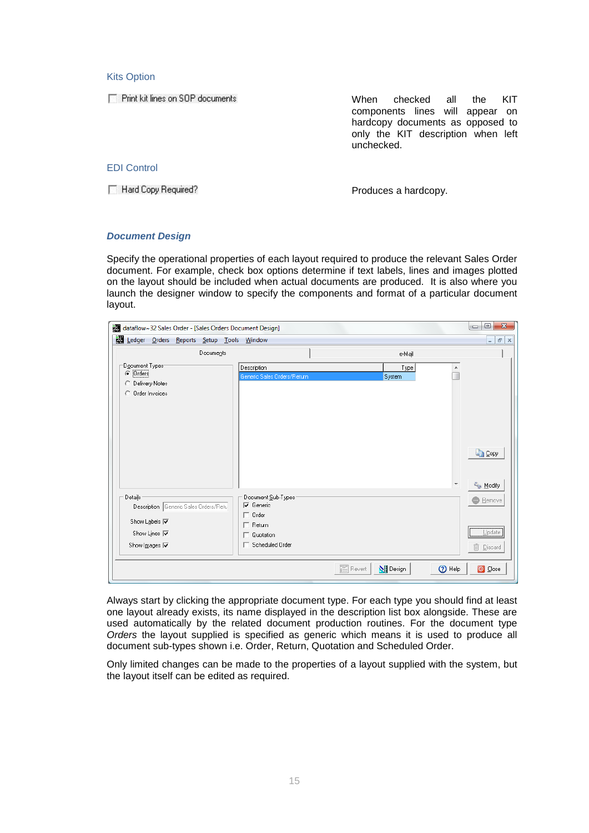#### Kits Option

Print kit lines on SOP documents

When checked all the KIT components lines will appear on hardcopy documents as opposed to only the KIT description when left unchecked.

EDI Control

Hard Copy Required?

Produces a hardcopy.

#### <span id="page-14-0"></span>*Document Design*

Specify the operational properties of each layout required to produce the relevant Sales Order document. For example, check box options determine if text labels, lines and images plotted on the layout should be included when actual documents are produced. It is also where you launch the designer window to specify the components and format of a particular document layout.

| dataflow~32 Sales Order - [Sales Orders Document Design]                                   |                                                                        |                             | $\Box$<br>$\mathbf{x}$<br>$\qquad \qquad \Box$          |
|--------------------------------------------------------------------------------------------|------------------------------------------------------------------------|-----------------------------|---------------------------------------------------------|
| Ledger Orders Reports Setup Tools Window                                                   |                                                                        |                             | $F \times$<br>$\overline{\phantom{a}}$                  |
| Documents                                                                                  |                                                                        | e-Majl                      |                                                         |
| Document Types<br>$\odot$ Orders<br>C Delivery Notes<br>C Order Invoices                   | Description<br>Generic Sales Orders/Return                             | Type<br>System              |                                                         |
|                                                                                            |                                                                        |                             | <b>La Copy</b><br><sup>2</sup> <sup>8</sup> Modify<br>▼ |
| Details:<br>Description Generic Sales Orders/Retu                                          | Document Sub-Types<br>$\nabla$ Generic                                 |                             | <b>Bemove</b>                                           |
| Show Labels <b>I</b><br>Show Lines <b>I</b><br>Show Images $\overline{\blacktriangledown}$ | $\Box$ Order<br>$\Box$ Return<br>$\Box$ Quotation<br>□ Scheduled Order |                             | $Update$<br>$\widehat{\mathbb{m}}$<br>Discard           |
|                                                                                            |                                                                        | <b>N</b> Design<br>图 Revert | <b>O</b> Help<br>O Close                                |

Always start by clicking the appropriate document type. For each type you should find at least one layout already exists, its name displayed in the description list box alongside. These are used automatically by the related document production routines. For the document type *Orders* the layout supplied is specified as generic which means it is used to produce all document sub-types shown i.e. Order, Return, Quotation and Scheduled Order.

Only limited changes can be made to the properties of a layout supplied with the system, but the layout itself can be edited as required.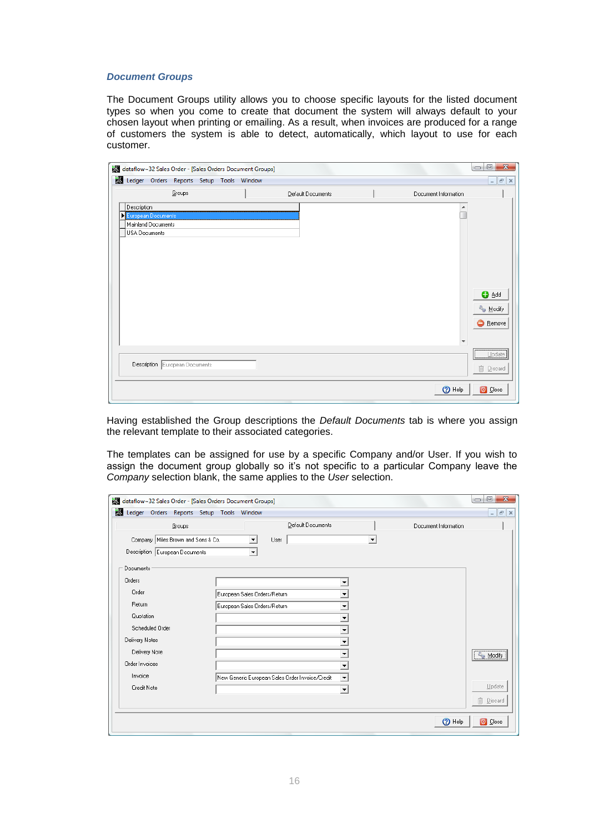#### <span id="page-15-0"></span>*Document Groups*

The Document Groups utility allows you to choose specific layouts for the listed document types so when you come to create that document the system will always default to your chosen layout when printing or emailing. As a result, when invoices are produced for a range of customers the system is able to detect, automatically, which layout to use for each customer.

| dataflow~32 Sales Order - [Sales Orders Document Groups]                 |                   |                          | $\overline{\mathbf{x}}$<br>▣<br>$\qquad \qquad \Box$ |
|--------------------------------------------------------------------------|-------------------|--------------------------|------------------------------------------------------|
| Ledger Orders Reports Setup Tools Window                                 |                   |                          | $ F$ $\times$                                        |
| Groups                                                                   | Default Documents | Document Information     |                                                      |
| Description<br>European Documents<br>Mainland Documents<br>USA Documents |                   |                          |                                                      |
|                                                                          |                   | $\overline{\phantom{a}}$ | O Add<br><sup>2</sup> Modify<br><b>B</b> emove       |
| Description European Documents                                           |                   |                          | Update<br><b>m</b> Discard                           |
|                                                                          |                   | O Help                   | O Close                                              |

Having established the Group descriptions the *Default Documents* tab is where you assign the relevant template to their associated categories.

The templates can be assigned for use by a specific Company and/or User. If you wish to assign the document group globally so it's not specific to a particular Company leave the *Company* selection blank, the same applies to the *User* selection.

| Ledger Orders Reports Setup Tools Window |                              |                                                 |                          |                      | $ F$ $\times$    |
|------------------------------------------|------------------------------|-------------------------------------------------|--------------------------|----------------------|------------------|
| Groups                                   |                              | Default Documents                               |                          | Document Information |                  |
| Company   Miles Brown and Sons & Co.     | User<br>▼                    |                                                 | $\blacktriangledown$     |                      |                  |
| Description European Documents           | $\blacktriangledown$         |                                                 |                          |                      |                  |
| Documents                                |                              |                                                 |                          |                      |                  |
| Orders                                   |                              |                                                 |                          |                      |                  |
| Order                                    | European Sales Orders/Return |                                                 | ▼                        |                      |                  |
| Return                                   | European Sales Orders/Return |                                                 | ▼                        |                      |                  |
| Quotation                                |                              |                                                 | ▼                        |                      |                  |
| Scheduled Order                          |                              |                                                 | ▼                        |                      |                  |
| Delivery Notes                           |                              |                                                 | ▼                        |                      |                  |
| Delivery Note                            |                              |                                                 | ▼                        |                      | & Modify         |
| Order Invoices                           |                              |                                                 | $\overline{\phantom{a}}$ |                      |                  |
| Invoice                                  |                              | New Generic European Sales Order Invoice/Credit | ▼                        |                      |                  |
| Credit Note                              |                              |                                                 | $\overline{\phantom{a}}$ |                      | Update           |
|                                          |                              |                                                 |                          |                      | <b>m</b> Discard |
|                                          |                              |                                                 |                          | O Help               | O Close          |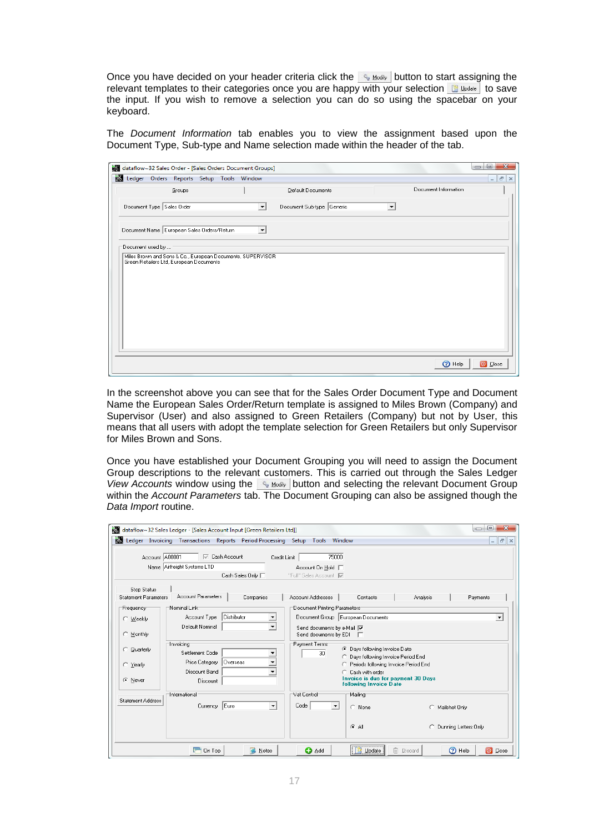Once you have decided on your header criteria click the  $\frac{1}{2}$  Modify | button to start assigning the relevant templates to their categories once you are happy with your selection  $\mathbb{B}_{\text{Index}}$  to save the input. If you wish to remove a selection you can do so using the spacebar on your keyboard.

The *Document Information* tab enables you to view the assignment based upon the Document Type, Sub-type and Name selection made within the header of the tab.

|                           |                                                                                                       | dataflow~32 Sales Order - [Sales Orders Document Groups] |                           |                      | $\overline{\mathbf{x}}$<br>$\Box$<br>$\qquad \qquad \Box$ |
|---------------------------|-------------------------------------------------------------------------------------------------------|----------------------------------------------------------|---------------------------|----------------------|-----------------------------------------------------------|
|                           | Ledger Orders Reports Setup Tools Window                                                              |                                                          |                           | $ F$ $\times$        |                                                           |
|                           | Groups                                                                                                |                                                          | Default Documents         | Document Information |                                                           |
| Document Type Sales Order |                                                                                                       | ▾                                                        | Document Sub-type Generic |                      |                                                           |
|                           | Document Name European Sales Orders/Return                                                            | $\overline{\phantom{0}}$                                 |                           |                      |                                                           |
| Document used by          |                                                                                                       |                                                          |                           |                      |                                                           |
|                           | Miles Brown and Sons & Co., European Documents, SUPERVISOR<br>Green Retailers Ltd, European Documents |                                                          |                           |                      |                                                           |
|                           |                                                                                                       |                                                          |                           |                      |                                                           |
|                           |                                                                                                       |                                                          |                           |                      |                                                           |
|                           |                                                                                                       |                                                          |                           |                      |                                                           |
|                           |                                                                                                       |                                                          |                           |                      |                                                           |
|                           |                                                                                                       |                                                          |                           |                      |                                                           |
|                           |                                                                                                       |                                                          |                           |                      |                                                           |
|                           |                                                                                                       |                                                          |                           |                      |                                                           |

In the screenshot above you can see that for the Sales Order Document Type and Document Name the European Sales Order/Return template is assigned to Miles Brown (Company) and Supervisor (User) and also assigned to Green Retailers (Company) but not by User, this means that all users with adopt the template selection for Green Retailers but only Supervisor for Miles Brown and Sons.

Once you have established your Document Grouping you will need to assign the Document Group descriptions to the relevant customers. This is carried out through the Sales Ledger *View Accounts* window using the **button and selecting the relevant Document Group** within the *Account Parameters* tab. The Document Grouping can also be assigned though the *Data Import* routine.

|                             | dataflow~32 Sales Ledger - [Sales Account Input [Green Retailers Ltd]]                 |                                  |                                                                                         | ▣<br>$\qquad \qquad \Box$             |
|-----------------------------|----------------------------------------------------------------------------------------|----------------------------------|-----------------------------------------------------------------------------------------|---------------------------------------|
|                             | the Ledger Invoicing Transactions Reports Period Processing Setup Tools Window         |                                  |                                                                                         | $ F$ $x$                              |
| Account A00001              | <b>I</b> <del>⊽</del> Cash Account<br>Name Airfreight Systems LTD<br>Cash Sales Only □ | Credit Limit                     | 75000<br>Account On Hold $\Box$<br>"Full" Sales Account V                               |                                       |
| Stop Status                 |                                                                                        |                                  |                                                                                         |                                       |
| <b>Statement Parameters</b> | Account Parameters                                                                     | Companies<br>Account Addresses   | Contacts                                                                                | Analysis<br>Payments                  |
| Frequency <sup>.</sup>      | Nominal Link-                                                                          |                                  | Document Printing Parameters <sup>-</sup>                                               |                                       |
| C Weekly                    | Distributor<br>Account Type                                                            | $\blacktriangledown$             | Document Group European Documents                                                       | $\overline{\phantom{a}}$              |
| C Monthly                   | Default Nominal                                                                        | $\overline{\phantom{a}}$         | Send documents by e-Mail V<br>Send documents by EDI □                                   |                                       |
| C Quarterly                 | Invoicing<br>Settlement Code                                                           | Payment Terms<br>۰               | C Davs following Invoice Date<br>30 <sup>°</sup><br>C Days following Invoice Period End |                                       |
| C Yearly                    | <b>Overseas</b><br>Price Category<br>Discount Band                                     | ۰<br>▼                           | Periods following Invoice Period End<br>Cash with order                                 |                                       |
| C Never                     | <b>Discount</b>                                                                        |                                  | Invoice is due for payment 30 Days<br>following Invoice Date                            |                                       |
|                             | International                                                                          | Vat Control                      | Mailing                                                                                 |                                       |
| <b>Statement Address</b>    | Euro<br>Currency                                                                       | Code<br>$\overline{\phantom{a}}$ | $\blacktriangledown$<br>C None                                                          | C Mailshot Only                       |
|                             |                                                                                        |                                  | $G$ All                                                                                 | C Dunning Letters Only                |
|                             | On Top                                                                                 | Notes                            | <b>O</b> Add<br>Update                                                                  | <b>m</b> Discard<br>2 Help<br>O Close |